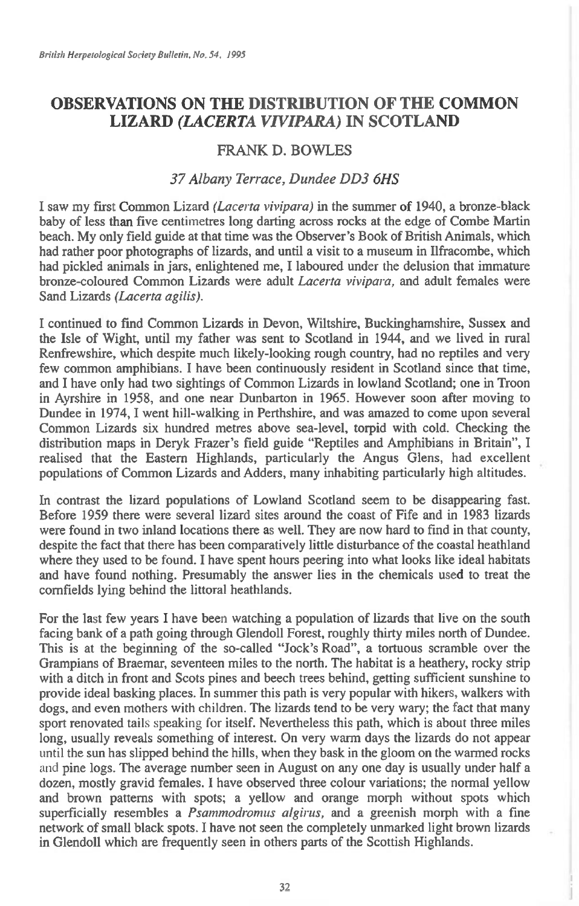## **OBSERVATIONS ON THE DISTRIBUTION OF THE COMMON LIZARD** *(LACERTA VIVIPARA)* **IN SCOTLAND**

## FRANK D. BOWLES

## *37 Albany Terrace, Dundee DD3 6HS*

I saw my first Common Lizard *(Lacerta vivipara)* in the summer of 1940, a bronze-black baby of less than five centimetres long darting across rocks at the edge of Combe Martin beach. My only field guide at that time was the Observer's Book of British Animals, which had rather poor photographs of lizards, and until a visit to a museum in Ilfracombe, which had pickled animals in jars, enlightened me, I laboured under the delusion that immature bronze-coloured Common Lizards were adult *Lacerta vivipara,* and adult females were Sand Lizards *(Lacerta agilis).* 

I continued to find Common Lizards in Devon, Wiltshire, Buckinghamshire, Sussex and the Isle of Wight, until my father was sent to Scotland in 1944, and we lived in rural Renfrewshire, which despite much likely-looking rough country, had no reptiles and very few common amphibians. I have been continuously resident in Scotland since that time, and I have only had two sightings of Common Lizards in lowland Scotland; one in Troon in Ayrshire in 1958, and one near Dunbarton in 1965. However soon after moving to Dundee in 1974, I went hill-walking in Perthshire, and was amazed to come upon several Common Lizards six hundred metres above sea-level, torpid with cold. Checking the distribution maps in Deryk Frazer's field guide "Reptiles and Amphibians in Britain", I realised that the Eastern Highlands, particularly the Angus Glens, had excellent populations of Common Lizards and Adders, many inhabiting particularly high altitudes.

In contrast the lizard populations of Lowland Scotland seem to be disappearing fast. Before 1959 there were several lizard sites around the coast of Fife and in 1983 lizards were found in two inland locations there as well. They are now hard to find in that county, despite the fact that there has been comparatively little disturbance of the coastal heathland where they used to be found. I have spent hours peering into what looks like ideal habitats and have found nothing. Presumably the answer lies in the chemicals used to treat the cornfields lying behind the littoral heathlands.

For the last few years I have been watching a population of lizards that live on the south facing bank of a path going through Glendoll Forest, roughly thirty miles north of Dundee. This is at the beginning of the so-called "Jock's Road", a tortuous scramble over the Grampians of Braemar, seventeen miles to the north. The habitat is a heathery, rocky strip with a ditch in front and Scots pines and beech trees behind, getting sufficient sunshine to provide ideal basking places. In summer this path is very popular with hikers, walkers with dogs, and even mothers with children. The lizards tend to be very wary; the fact that many sport renovated tails speaking for itself. Nevertheless this path, which is about three miles long, usually reveals something of interest. On very warm days the lizards do not appear until the sun has slipped behind the hills, when they bask in the gloom on the warmed rocks and pine logs. The average number seen in August on any one day is usually under half a dozen, mostly gravid females. I have observed three colour variations; the normal yellow and brown patterns with spots; a yellow and orange morph without spots which superficially resembles a *Psammodromus aigirus,* and a greenish morph with a fine network of small black spots. I have not seen the completely unmarked light brown lizards in Glendoll which are frequently seen in others parts of the Scottish Highlands.